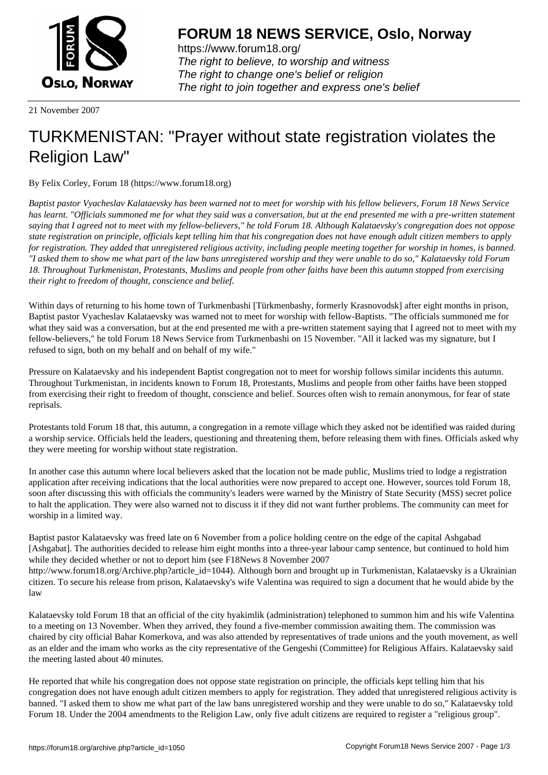

https://www.forum18.org/ The right to believe, to worship and witness The right to change one's belief or religion [The right to join together a](https://www.forum18.org/)nd express one's belief

21 November 2007

## [TURKMENISTA](https://www.forum18.org)N: "Prayer without state registration violates the Religion Law"

By Felix Corley, Forum 18 (https://www.forum18.org)

*Baptist pastor Vyacheslav Kalataevsky has been warned not to meet for worship with his fellow believers, Forum 18 News Service has learnt. "Officials summoned me for what they said was a conversation, but at the end presented me with a pre-written statement saying that I agreed not to meet with my fellow-believers," he told Forum 18. Although Kalataevsky's congregation does not oppose state registration on principle, officials kept telling him that his congregation does not have enough adult citizen members to apply for registration. They added that unregistered religious activity, including people meeting together for worship in homes, is banned. "I asked them to show me what part of the law bans unregistered worship and they were unable to do so," Kalataevsky told Forum 18. Throughout Turkmenistan, Protestants, Muslims and people from other faiths have been this autumn stopped from exercising their right to freedom of thought, conscience and belief.*

Within days of returning to his home town of Turkmenbashi [Türkmenbashy, formerly Krasnovodsk] after eight months in prison, Baptist pastor Vyacheslav Kalataevsky was warned not to meet for worship with fellow-Baptists. "The officials summoned me for what they said was a conversation, but at the end presented me with a pre-written statement saying that I agreed not to meet with my fellow-believers," he told Forum 18 News Service from Turkmenbashi on 15 November. "All it lacked was my signature, but I refused to sign, both on my behalf and on behalf of my wife."

Pressure on Kalataevsky and his independent Baptist congregation not to meet for worship follows similar incidents this autumn. Throughout Turkmenistan, in incidents known to Forum 18, Protestants, Muslims and people from other faiths have been stopped from exercising their right to freedom of thought, conscience and belief. Sources often wish to remain anonymous, for fear of state reprisals.

Protestants told Forum 18 that, this autumn, a congregation in a remote village which they asked not be identified was raided during a worship service. Officials held the leaders, questioning and threatening them, before releasing them with fines. Officials asked why they were meeting for worship without state registration.

In another case this autumn where local believers asked that the location not be made public, Muslims tried to lodge a registration application after receiving indications that the local authorities were now prepared to accept one. However, sources told Forum 18, soon after discussing this with officials the community's leaders were warned by the Ministry of State Security (MSS) secret police to halt the application. They were also warned not to discuss it if they did not want further problems. The community can meet for worship in a limited way.

Baptist pastor Kalataevsky was freed late on 6 November from a police holding centre on the edge of the capital Ashgabad [Ashgabat]. The authorities decided to release him eight months into a three-year labour camp sentence, but continued to hold him while they decided whether or not to deport him (see F18News 8 November 2007 http://www.forum18.org/Archive.php?article\_id=1044). Although born and brought up in Turkmenistan, Kalataevsky is a Ukrainian citizen. To secure his release from prison, Kalataevsky's wife Valentina was required to sign a document that he would abide by the law

Kalataevsky told Forum 18 that an official of the city hyakimlik (administration) telephoned to summon him and his wife Valentina to a meeting on 13 November. When they arrived, they found a five-member commission awaiting them. The commission was chaired by city official Bahar Komerkova, and was also attended by representatives of trade unions and the youth movement, as well as an elder and the imam who works as the city representative of the Gengeshi (Committee) for Religious Affairs. Kalataevsky said the meeting lasted about 40 minutes.

He reported that while his congregation does not oppose state registration on principle, the officials kept telling him that his congregation does not have enough adult citizen members to apply for registration. They added that unregistered religious activity is banned. "I asked them to show me what part of the law bans unregistered worship and they were unable to do so," Kalataevsky told Forum 18. Under the 2004 amendments to the Religion Law, only five adult citizens are required to register a "religious group".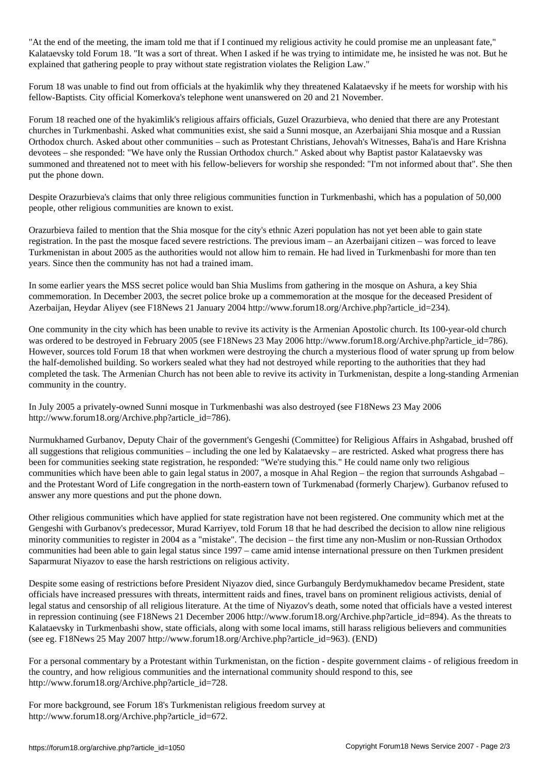"At the end of the meeting, the imam told me that if I continued my religious activity he could promise me an unpleasant fate," Kalataevsky told Forum 18. "It was a sort of threat. When I asked if he was trying to intimidate me, he insisted he was not. But he explained that gathering people to pray without state registration violates the Religion Law."

Forum 18 was unable to find out from officials at the hyakimlik why they threatened Kalataevsky if he meets for worship with his fellow-Baptists. City official Komerkova's telephone went unanswered on 20 and 21 November.

Forum 18 reached one of the hyakimlik's religious affairs officials, Guzel Orazurbieva, who denied that there are any Protestant churches in Turkmenbashi. Asked what communities exist, she said a Sunni mosque, an Azerbaijani Shia mosque and a Russian Orthodox church. Asked about other communities – such as Protestant Christians, Jehovah's Witnesses, Baha'is and Hare Krishna devotees – she responded: "We have only the Russian Orthodox church." Asked about why Baptist pastor Kalataevsky was summoned and threatened not to meet with his fellow-believers for worship she responded: "I'm not informed about that". She then put the phone down.

Despite Orazurbieva's claims that only three religious communities function in Turkmenbashi, which has a population of 50,000 people, other religious communities are known to exist.

Orazurbieva failed to mention that the Shia mosque for the city's ethnic Azeri population has not yet been able to gain state registration. In the past the mosque faced severe restrictions. The previous imam – an Azerbaijani citizen – was forced to leave Turkmenistan in about 2005 as the authorities would not allow him to remain. He had lived in Turkmenbashi for more than ten years. Since then the community has not had a trained imam.

In some earlier years the MSS secret police would ban Shia Muslims from gathering in the mosque on Ashura, a key Shia commemoration. In December 2003, the secret police broke up a commemoration at the mosque for the deceased President of Azerbaijan, Heydar Aliyev (see F18News 21 January 2004 http://www.forum18.org/Archive.php?article\_id=234).

One community in the city which has been unable to revive its activity is the Armenian Apostolic church. Its 100-year-old church was ordered to be destroyed in February 2005 (see F18News 23 May 2006 http://www.forum18.org/Archive.php?article\_id=786). However, sources told Forum 18 that when workmen were destroying the church a mysterious flood of water sprung up from below the half-demolished building. So workers sealed what they had not destroyed while reporting to the authorities that they had completed the task. The Armenian Church has not been able to revive its activity in Turkmenistan, despite a long-standing Armenian community in the country.

In July 2005 a privately-owned Sunni mosque in Turkmenbashi was also destroyed (see F18News 23 May 2006 http://www.forum18.org/Archive.php?article\_id=786).

Nurmukhamed Gurbanov, Deputy Chair of the government's Gengeshi (Committee) for Religious Affairs in Ashgabad, brushed off all suggestions that religious communities – including the one led by Kalataevsky – are restricted. Asked what progress there has been for communities seeking state registration, he responded: "We're studying this." He could name only two religious communities which have been able to gain legal status in 2007, a mosque in Ahal Region – the region that surrounds Ashgabad – and the Protestant Word of Life congregation in the north-eastern town of Turkmenabad (formerly Charjew). Gurbanov refused to answer any more questions and put the phone down.

Other religious communities which have applied for state registration have not been registered. One community which met at the Gengeshi with Gurbanov's predecessor, Murad Karriyev, told Forum 18 that he had described the decision to allow nine religious minority communities to register in 2004 as a "mistake". The decision – the first time any non-Muslim or non-Russian Orthodox communities had been able to gain legal status since 1997 – came amid intense international pressure on then Turkmen president Saparmurat Niyazov to ease the harsh restrictions on religious activity.

Despite some easing of restrictions before President Niyazov died, since Gurbanguly Berdymukhamedov became President, state officials have increased pressures with threats, intermittent raids and fines, travel bans on prominent religious activists, denial of legal status and censorship of all religious literature. At the time of Niyazov's death, some noted that officials have a vested interest in repression continuing (see F18News 21 December 2006 http://www.forum18.org/Archive.php?article\_id=894). As the threats to Kalataevsky in Turkmenbashi show, state officials, along with some local imams, still harass religious believers and communities (see eg. F18News 25 May 2007 http://www.forum18.org/Archive.php?article\_id=963). (END)

For a personal commentary by a Protestant within Turkmenistan, on the fiction - despite government claims - of religious freedom in the country, and how religious communities and the international community should respond to this, see http://www.forum18.org/Archive.php?article\_id=728.

For more background, see Forum 18's Turkmenistan religious freedom survey at http://www.forum18.org/Archive.php?article\_id=672.